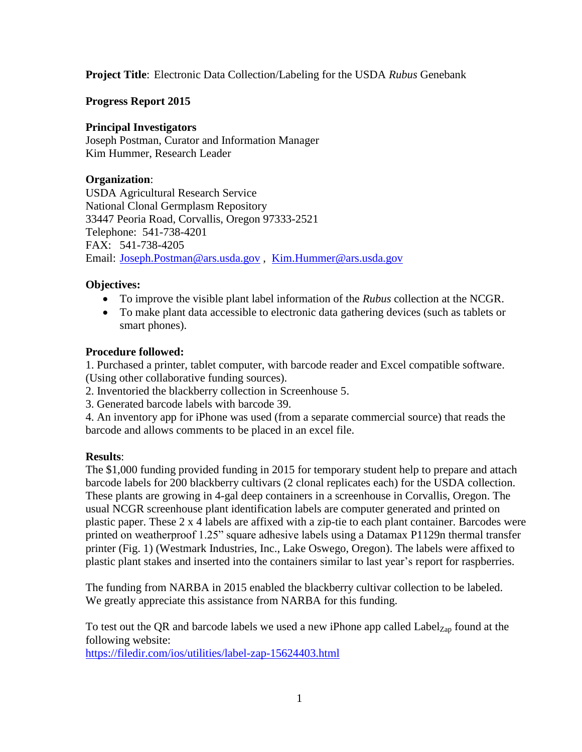**Project Title**: Electronic Data Collection/Labeling for the USDA *Rubus* Genebank

**Progress Report 2015**

### **Principal Investigators**

Joseph Postman, Curator and Information Manager Kim Hummer, Research Leader

# **Organization**:

USDA Agricultural Research Service National Clonal Germplasm Repository 33447 Peoria Road, Corvallis, Oregon 97333-2521 Telephone: 541-738-4201 FAX: 541-738-4205 Email: [Joseph.Postman@ars.usda.gov](mailto:Joseph.Postman@ars.usda.gov) , [Kim.Hummer@ars.usda.gov](mailto:Kim.Hummer@ars.usda.gov)

# **Objectives:**

- To improve the visible plant label information of the *Rubus* collection at the NCGR.
- To make plant data accessible to electronic data gathering devices (such as tablets or smart phones).

# **Procedure followed:**

1. Purchased a printer, tablet computer, with barcode reader and Excel compatible software. (Using other collaborative funding sources).

- 2. Inventoried the blackberry collection in Screenhouse 5.
- 3. Generated barcode labels with barcode 39.

4. An inventory app for iPhone was used (from a separate commercial source) that reads the barcode and allows comments to be placed in an excel file.

### **Results**:

The \$1,000 funding provided funding in 2015 for temporary student help to prepare and attach barcode labels for 200 blackberry cultivars (2 clonal replicates each) for the USDA collection. These plants are growing in 4-gal deep containers in a screenhouse in Corvallis, Oregon. The usual NCGR screenhouse plant identification labels are computer generated and printed on plastic paper. These 2 x 4 labels are affixed with a zip-tie to each plant container. Barcodes were printed on weatherproof 1.25" square adhesive labels using a Datamax P1129n thermal transfer printer (Fig. 1) (Westmark Industries, Inc., Lake Oswego, Oregon). The labels were affixed to plastic plant stakes and inserted into the containers similar to last year's report for raspberries.

The funding from NARBA in 2015 enabled the blackberry cultivar collection to be labeled. We greatly appreciate this assistance from NARBA for this funding.

To test out the QR and barcode labels we used a new iPhone app called  $Label_{Zap}$  found at the following website:

<https://filedir.com/ios/utilities/label-zap-15624403.html>